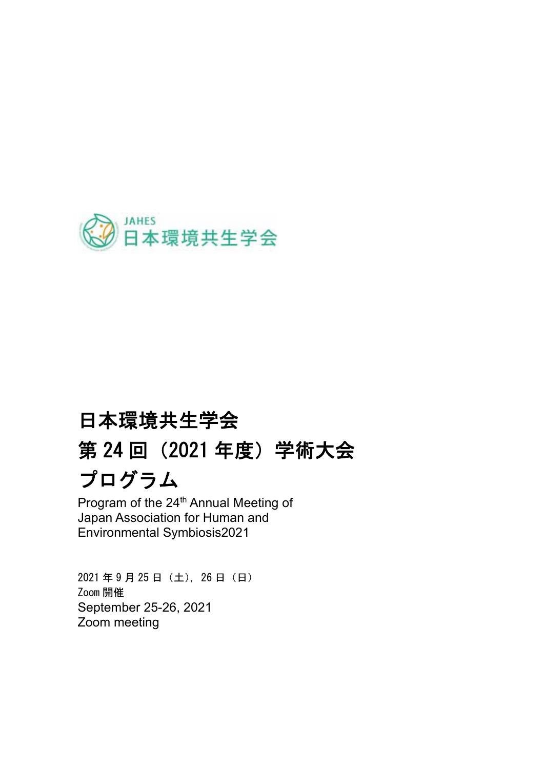

# 日本環境共生学会 第 24 回(2021 年度)学術大会 プログラム

Program of the 24<sup>th</sup> Annual Meeting of Japan Association for Human and Environmental Symbiosis2021

2021 年 9 月 25 日(土),26 日(日) Zoom 開催 September 25-26, 2021 Zoom meeting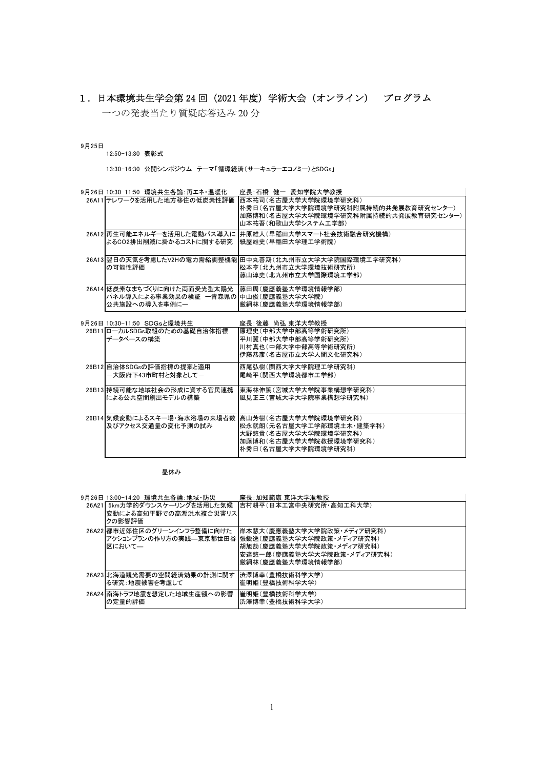## 1.日本環境共生学会第 24 回(2021 年度)学術大会(オンライン) プログラム

一つの発表当たり質疑応答込み 20 分

9月25日

### 12:50-13:30 表彰式

13:30-16:30 公開シンポジウム テーマ「循環経済(サーキュラーエコノミー)とSDGs」

| 9月26日 10:30-11:50 環境共生各論:再エネ・温暖化                                                                       | 座長:石橋 健一 愛知学院大学教授                                                                                                           |
|--------------------------------------------------------------------------------------------------------|-----------------------------------------------------------------------------------------------------------------------------|
| 26A11 テレワークを活用した地方移住の低炭素性評価                                                                            | 西本祐司(名古屋大学大学院環境学研究科)<br> 朴秀日(名古屋大学大学院環境学研究科附属持続的共発展教育研究センター)<br>加藤博和(名古屋大学大学院環境学研究科附属持続的共発展教育研究センター)<br>山本祐吾(和歌山大学システム工学部)  |
| 26A12 再生可能エネルギーを活用した電動バス導入に<br>よるCO2排出削減に掛かるコストに関する研究                                                  | 井原雄人(早稲田大学スマート社会技術融合研究機構)<br> 紙屋雄史(早稲田大学理工学術院)                                                                              |
| の可能性評価                                                                                                 | 26A13 翌日の天気を考慮したV2Hの電力需給調整機能 田中丸善鴻(北九州市立大学大学院国際環境工学研究科)<br>松本亨(北九州市立大学環境技術研究所)<br>藤山淳史(北九州市立大学国際環境工学部)                      |
| 26A14 低炭素なまちづくりに向けた両面受光型太陽光 藤田周(慶應義塾大学環境情報学部)<br>パネル導入による事業効果の検証 一青森県の 中山俊(慶應義塾大学大学院)<br>公共施設への導入を事例に一 | 厳網林(慶應義塾大学環境情報学部)                                                                                                           |
| 9月26日 10:30-11:50 SDGsと環境共生                                                                            | 座長:後藤 尚弘 東洋大学教授                                                                                                             |
| 26B11ローカルSDGs取組のための基礎自治体指標<br>データベースの構築                                                                | 原理史(中部大学中部高等学術研究所)<br>平川翼(中部大学中部高等学術研究所)<br>川村真也(中部大学中部高等学術研究所)<br>伊藤恭彦(名古屋市立大学人間文化研究科)                                     |
| 26B12 自治体SDGsの評価指標の提案と適用<br>ー大阪府下43市町村と対象としてー                                                          | 西尾弘樹(関西大学大学院理工学研究科)<br>尾崎平(関西大学環境都市工学部)                                                                                     |
| 26B13 持続可能な地域社会の形成に資する官民連携<br>による公共空間創出モデルの構築                                                          | 東海林伸篤(宮城大学大学院事業構想学研究科)<br>風見正三(宮城大学大学院事業構想学研究科)                                                                             |
| 26B14 気候変動によるスキー場·海水浴場の来場者数<br>及びアクセス交通量の変化予測の試み                                                       | 高山芳樹(名古屋大学大学院環境学研究科)<br> 松永就朗(元名古屋大学工学部環境土木・建築学科) <br>大野悠貴(名古屋大学大学院環境学研究科)<br>加藤博和(名古屋大学大学院教授環境学研究科)<br>朴秀日(名古屋大学大学院環境学研究科) |

昼休み

| 9月26日 13:00-14:20 環境共生各論:地域·防災                                  | 座長:加知範康 東洋大学准教授                                                                                                                                               |
|-----------------------------------------------------------------|---------------------------------------------------------------------------------------------------------------------------------------------------------------|
| 26A21 5km力学的ダウンスケーリングを活用した気候<br>変動による高知平野での高潮洪水複合災害リス<br>クの影響評価 | 吉村耕平(日本工営中央研究所・高知工科大学)                                                                                                                                        |
| 26A22 都市近郊住区のグリーンインフラ整備に向けた<br>区において—                           | 岸本慧大(慶應義塾大学大学院政策・メディア研究科)<br>アクションプランの作り方の実践—東京都世田谷 張鋭逸(慶應義塾大学大学院政策・メディア研究科)<br> 胡旭劼(慶應義塾大学大学院政策・メディア研究科)<br>安達悠一郎(慶應義塾大学大学院政策・メディア研究科)<br> 厳網林(慶應義塾大学環境情報学部) |
| 26A23 北海道観光需要の空間経済効果の計測に関す<br>る研究:地震被害を考慮して                     | 渋澤博幸(豊橋技術科学大学)<br>崔明姫(豊橋技術科学大学)                                                                                                                               |
| 26A24 南海トラフ地震を想定した地域生産額への影響<br>の定量的評価                           | 崔明姫(豊橋技術科学大学)<br> 渋澤博幸(豊橋技術科学大学)                                                                                                                              |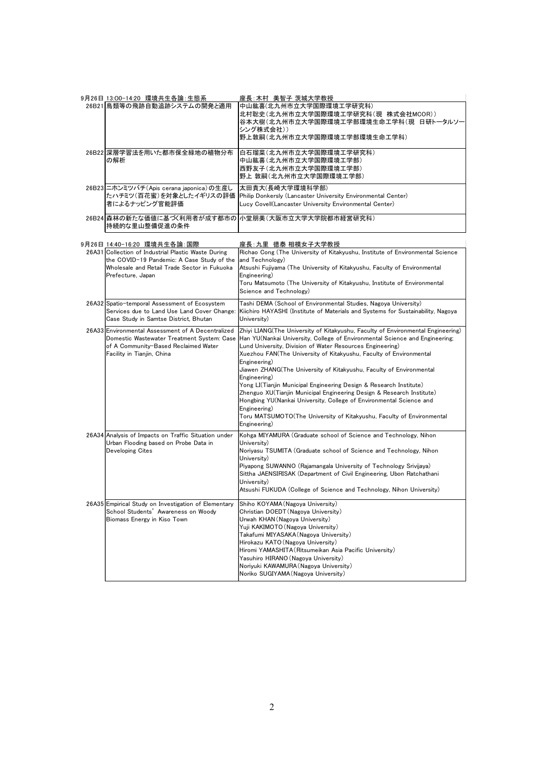|       | 9月26日 13:00-14:20 環境共生各論:生態系                                                                                                                                                                          | 座長:木村 美智子 茨城大学教授                                                                                                                                                                                                                                                                                                                                                                                                                                                                                                                                                                                                                                                                                                                        |
|-------|-------------------------------------------------------------------------------------------------------------------------------------------------------------------------------------------------------|-----------------------------------------------------------------------------------------------------------------------------------------------------------------------------------------------------------------------------------------------------------------------------------------------------------------------------------------------------------------------------------------------------------------------------------------------------------------------------------------------------------------------------------------------------------------------------------------------------------------------------------------------------------------------------------------------------------------------------------------|
|       | 26B21 鳥類等の飛跡自動追跡システムの開発と適用                                                                                                                                                                            | 中山紘喜(北九州市立大学国際環境工学研究科)<br>北村聡史(北九州市立大学国際環境工学研究科(現 株式会社MCOR))<br>谷本大樹(北九州市立大学国際環境工学部環境生命工学科(現 日研トータルソー<br>シング株式会社))<br>野上敦嗣(北九州市立大学国際環境工学部環境生命工学科)                                                                                                                                                                                                                                                                                                                                                                                                                                                                                                                                                                                       |
|       | 26B22  深層学習法を用いた都市保全緑地の植物分布<br>の解析                                                                                                                                                                    | 白石瑠菜(北九州市立大学国際環境工学研究科)<br>中山紘喜(北九州市立大学国際環境工学部)<br>西野友子(北九州市立大学国際環境工学部)<br>野上 敦嗣(北九州市立大学国際環境工学部)                                                                                                                                                                                                                                                                                                                                                                                                                                                                                                                                                                                                                                         |
|       | 26B23 二ホンミツバチ(Apis cerana japonica)の生産し<br>たハチミツ(百花蜜)を対象としたイギリスの評価<br>者によるナッピング官能評価                                                                                                                   | 太田貴大(長崎大学環境科学部)<br>Philip Donkersly (Lancaster University Environmental Center)<br>Lucy Covell(Lancaster University Environmental Center)                                                                                                                                                                                                                                                                                                                                                                                                                                                                                                                                                                                               |
|       | 持続的な里山整備促進の条件                                                                                                                                                                                         | 26B24 森林の新たな価値に基づく利用者が成す都市の 小堂朋美(大阪市立大学大学院都市経営研究科)                                                                                                                                                                                                                                                                                                                                                                                                                                                                                                                                                                                                                                                                                      |
|       |                                                                                                                                                                                                       |                                                                                                                                                                                                                                                                                                                                                                                                                                                                                                                                                                                                                                                                                                                                         |
|       | 9月26日 14:40−16:20 環境共生各論:国際<br>26A31 Collection of Industrial Plastic Waste During<br>the COVID-19 Pandemic: A Case Study of the<br>Wholesale and Retail Trade Sector in Fukuoka<br>Prefecture, Japan | 座長:九里 徳泰 相模女子大学教授<br>Richao Cong (The University of Kitakyushu, Institute of Environmental Science<br>and Technology)<br>Atsushi Fujiyama (The University of Kitakyushu, Faculty of Environmental<br>Engineering)<br>Toru Matsumoto (The University of Kitakyushu, Institute of Environmental<br>Science and Technology)                                                                                                                                                                                                                                                                                                                                                                                                                |
|       | 26A32 Spatio-temporal Assessment of Ecosystem<br>Services due to Land Use Land Cover Change:<br>Case Study in Samtse District. Bhutan                                                                 | Tashi DEMA (School of Environmental Studies, Nagoya University)<br>Kiichiro HAYASHI (Institute of Materials and Systems for Sustainability, Nagoya<br>University)                                                                                                                                                                                                                                                                                                                                                                                                                                                                                                                                                                       |
|       | 26A33 Environmental Assessment of A Decentralized<br>Domestic Wastewater Treatment System: Case<br>of A Community-Based Reclaimed Water<br>Facility in Tianjin, China                                 | Zhiyi LIANG(The University of Kitakyushu, Faculty of Environmental Engineering)<br>Han YU(Nankai University, College of Environmental Science and Engineering;<br>Lund University, Division of Water Resources Engineering)<br>Xuezhou FAN(The University of Kitakyushu, Faculty of Environmental<br>Engineering)<br>Jiawen ZHANG(The University of Kitakyushu, Faculty of Environmental<br>Engineering)<br>Yong LI(Tianjin Municipal Engineering Design & Research Institute)<br>Zhenguo XU(Tianjin Municipal Engineering Design & Research Institute)<br>Hongbing YU(Nankai University, College of Environmental Science and<br>Engineering)<br>Toru MATSUMOTO(The University of Kitakyushu, Faculty of Environmental<br>Engineering) |
|       | 26A34 Analysis of Impacts on Traffic Situation under<br>Urban Flooding based on Probe Data in<br>Developing Cites                                                                                     | Kohga MIYAMURA (Graduate school of Science and Technology, Nihon<br>University)<br>Noriyasu TSUMITA (Graduate school of Science and Technology, Nihon<br>University)<br>Piyapong SUWANNO (Rajamangala University of Technology Srivijaya)<br>Sittha JAENSIRISAK (Department of Civil Engineering, Ubon Ratchathani<br>University)<br>Atsushi FUKUDA (College of Science and Technology, Nihon University)                                                                                                                                                                                                                                                                                                                               |
| 26A35 | Empirical Study on Investigation of Elementary<br>School Students' Awareness on Woody<br>Biomass Energy in Kiso Town                                                                                  | Shiho KOYAMA (Nagoya University)<br>Christian DOEDT (Nagoya University)<br>Urwah KHAN (Nagoya University)<br>Yuji KAKIMOTO (Nagoya University)<br>Takafumi MIYASAKA (Nagoya University)<br>Hirokazu KATO (Nagoya University)<br>Hiromi YAMASHITA (Ritsumeikan Asia Pacific University)<br>Yasuhiro HIRANO (Nagoya University)<br>Noriyuki KAWAMURA (Nagoya University)<br>Noriko SUGIYAMA (Nagoya University)                                                                                                                                                                                                                                                                                                                           |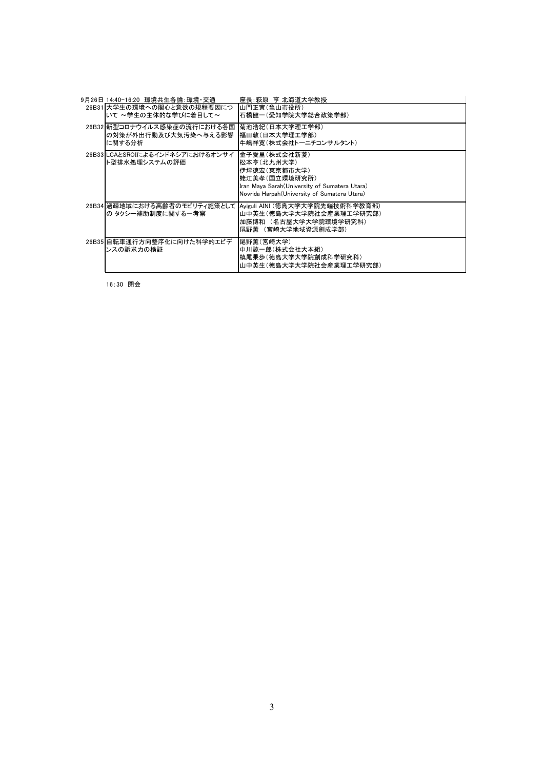| 9月26日 14:40−16:20 環境共生各論:環境・交通                                  | 座長:萩原 亨 北海道大学教授                                                                                                                                                |
|-----------------------------------------------------------------|----------------------------------------------------------------------------------------------------------------------------------------------------------------|
| 26B31 大学生の環境への関心と意欲の規程要因につ<br>いて ~学生の主体的な学びに着目して~               | 山門正宜(亀山市役所)<br>石橋健一(愛知学院大学総合政策学部)                                                                                                                              |
| 26B32   新型コロナウイルス感染症の流行における各国<br>の対策が外出行動及び大気汚染へ与える影響<br>に関する分析 | 菊池浩紀(日本大学理工学部)<br>福田敦(日本大学理工学部)<br>牛嶋祥寛(株式会社トーニチコンサルタント)                                                                                                       |
| 26B33 LCAとSROIによるインドネシアにおけるオンサイ<br>ト型排水処理システムの評価                | 金子愛里(株式会社新菱)<br>松本亨(北九州大学)<br>伊坪徳宏(東京都市大学)<br>蛯江美孝(国立環境研究所)<br>Iran Maya Sarah (University of Sumatera Utara)<br>Novrida Harpah (University of Sumatera Utara) |
| の タクシー補助制度に関する一考察                                               | 26B34 過疎地域における高齢者のモビリティ施策として  Ayiguli AINI (徳島大学大学院先端技術科学教育部)<br>山中英生(徳島大学大学院社会産業理工学研究部)<br>加藤博和 (名古屋大学大学院環境学研究科)<br>尾野薫 (宮崎大学地域資源創成学部)                        |
| 26B35 自転車通行方向整序化に向けた科学的エビデ<br>ンスの訴求力の検証                         | 尾野薫(宮崎大学) <br>中川諒一郎(株式会社大本組)<br>槙尾果歩(徳島大学大学院創成科学研究科)<br>山中英生(徳島大学大学院社会産業理工学研究部)                                                                                |

16:30 閉会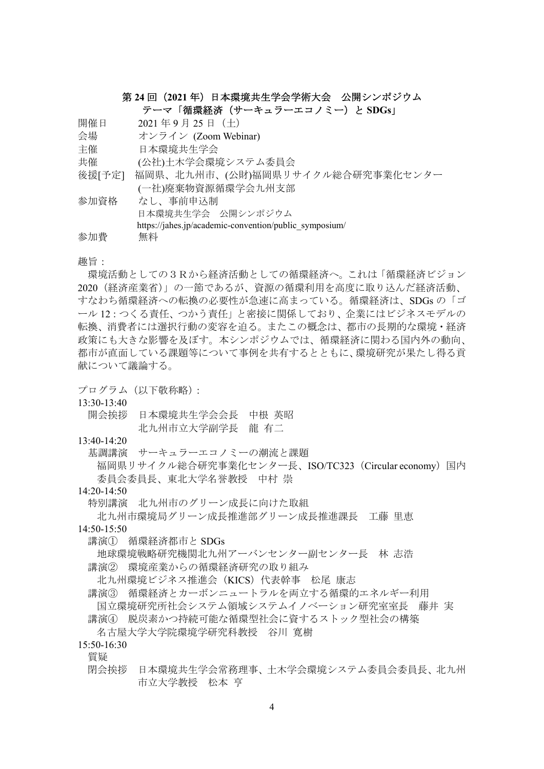## 第 **24** 回(**2021** 年)日本環境共生学会学術大会 公開シンポジウム

テーマ「循環経済(サーキュラーエコノミー)と **SDGs**」

開催日 2021年9月25日 (十)

会場 オンライン (Zoom Webinar)

主催 日本環境共生学会

- 共催 (公社)土木学会環境システム委員会
- 後援[予定] 福岡県、北九州市、(公財)福岡県リサイクル総合研究事業化センター
- (一社)廃棄物資源循環学会九州支部

| 参加資格 | なし、事前申込制                                               |
|------|--------------------------------------------------------|
|      | 日本環境共生学会 公開シンポジウム                                      |
|      | https://jahes.jp/academic-convention/public symposium/ |
| 参加費  | 無料                                                     |

### 趣旨:

環境活動としての3Rから経済活動としての循環経済へ。これは「循環経済ビジョン 2020(経済産業省)」の一節であるが、資源の循環利用を高度に取り込んだ経済活動、 すなわち循環経済への転換の必要性が急速に高まっている。循環経済は、SDGs の「ゴ ール 12:つくる責任、つかう責任」と密接に関係しており、企業にはビジネスモデルの 転換、消費者には選択行動の変容を迫る。またこの概念は、都市の長期的な環境・経済 政策にも大きな影響を及ぼす。本シンポジウムでは、循環経済に関わる国内外の動向、 都市が直面している課題等について事例を共有するとともに、環境研究が果たし得る貢 献について議論する。

プログラム(以下敬称略):

13:30-13:40

- 開会挨拶 日本環境共生学会会長 中根 英昭 北九州市立大学副学長 龍 有二
- $13.40 14.20$ 
	- 基調講演 サーキュラーエコノミーの潮流と課題
		- 福岡県リサイクル総合研究事業化センター長、ISO/TC323(Circular economy)国内 委員会委員長、東北大学名誉教授 中村 崇

## 14:20-14:50

特別講演 北九州市のグリーン成長に向けた取組

北九州市環境局グリーン成長推進部グリーン成長推進課長 工藤 里恵

- $14.50 15.50$ 
	- 講演① 循環経済都市と SDGs
	- 地球環境戦略研究機関北九州アーバンセンター副センター長 林 志浩 講演② 環境産業からの循環経済研究の取り組み
	- 北九州環境ビジネス推進会(KICS)代表幹事 松尾 康志
	- 講演③ 循環経済とカーボンニュートラルを両立する循環的エネルギー利用 国立環境研究所社会システム領域システムイノベーション研究室室長 藤井 実 講演④ 脱炭素かつ持続可能な循環型社会に資するストック型社会の構築
	- 名古屋大学大学院環境学研究科教授 谷川 寛樹
- 15:50-16:30

質疑

閉会挨拶 日本環境共生学会常務理事、土木学会環境システム委員会委員長、北九州 市立大学教授 松本 亨